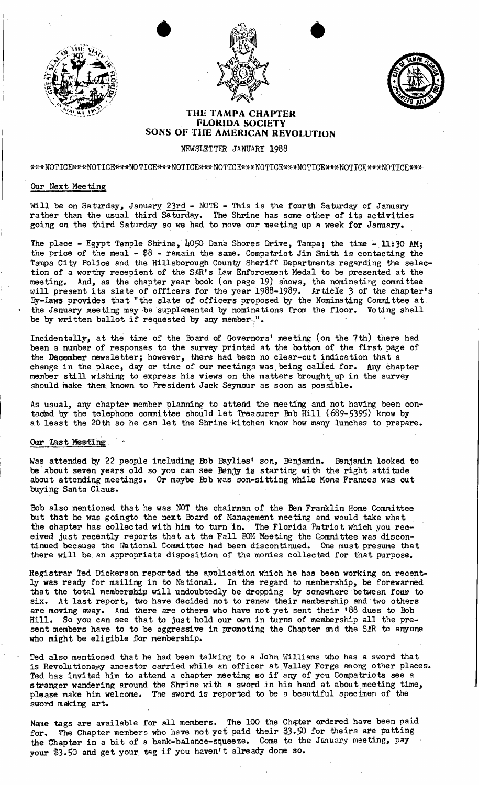





## **THE TAMPA CHAPTER FLORIDA SOCIETY SONS OF THE AMERICAN REVOLUTION**

NEWSLETTER JANUARY 1988

\*\*\*NOTICE\*\*\*NOTICE\*\*\*NOTICE\*\*\*NOTICE\*\*\*NOTICE\*\*\*NOTICE\*\*\*NOTICE\*\*\*NOTICE\*\*\*NOTICE

## Our Next Meeting

Will be on Saturday, January 23rd - NOTE - This is the fourth Saturday of January rather than the usual third Saturday. The Shrine has some other of its activities going on the third Saturday so we had to move our meeting up a week for January.

The place - Egypt Temple Shrine,  $\mu$ 050 Dana Shores Drive, Tampa; the time - 11:30 AM; the price of the meal  $-$  \$8 - remain the same. Compatriot Jim Smith is contacting the Tampa City Police and the Hillsborough County Sheriff Departments regarding the selection of a worthy recepient of the SAR's Law Enforcement Medal to be presented at the meeting. And, as the chapter year book (on page 19) shows, the nominating committee will present its slate of officers for the year 1988-1989. Article 3 of the chapter's By-laws provides that "the slate of officers proposed by the Nominating Committee at the January meeting may be supplemented by nominations from the floor. Voting shall be by written ballot if requested by any member.<sup>"</sup>.

Incidentally, at the time of the Board of Governors' meeting (on the 7th) there had been a number of responses to the survey printed at the bottom of the first page of the December newsletter; however, there had been no clear-cut indication that a change in the place, day or time of our meetings was being called for. Any chapter member still wishing to express his views on the matters brought up in the survey should make them known to President Jack Seymour as soon as possible.

As usual, any chapter member planning to attend the meeting and not having been contaded by the telephone committee should let Treasurer Bob Hill  $(689-5395)$  know by at least the 20th so he can let the Shrine kitchen know how many lunches to prepare.

## Our last Meeting.

Was attended by 22 people including Bob Baylies' son, Benjamin. Benjamin looked to be about seven years old so you can see Benjy is starting with the right attitude about attending meetings. Or maybe Bob was son-sitting while Moma Frances was out buying Santa Claus.

Bob also mentioned that he was NOT the chairman of the Ben Franklin Home Committee but that he was goingto the next Board of Management meeting and would take what the chapter has collected with him to turn in. The Florida Patriot which you received just recently reports that at the Fall BOM Meeting the Committee was discontinued because the National Committee had been discontinued. One must presume that there will be an appropriate disposition of the monies collected for that purpose.

Registrar Ted Dickerson reported the application which he has been working on recently was ready for mailing in to National. In the regard to membership, be forewarned that the total membership will undoubtedly be dropping by somewhere between four to six. At last report, two have decided not to renew their membership and two others are moving away. And there are others who have not yet sent their '88 dues to Bob Hill. So you can see that to just hold our own in turns of membership all the present members have to to be aggressive in promoting the Chapter and the SAR to anyone who might be eligible for membership.

Ted also mentioned that he had been talking to a John Williams who has a sword that is Revolutionary ancestor carried while an officer at Valley Forge among other places. Ted has invited him to attend a chapter meeting so if any of you Compatriots see a stranger wandering around the Shrine with a sword in his hand at about meeting time, please make him welcome. The sword is reported to be a beautiful specimen of the sword making art.

Name tags are available for all members. The 100 the Chater ordered have been paid for. The Chapter members who have not yet paid their \$3.50 for theirs are putting the Chapter in a bit of a bank-balance-squeeze. Come to the January meeting, pay your \$3.50 and get your tag if you haven't already done so.